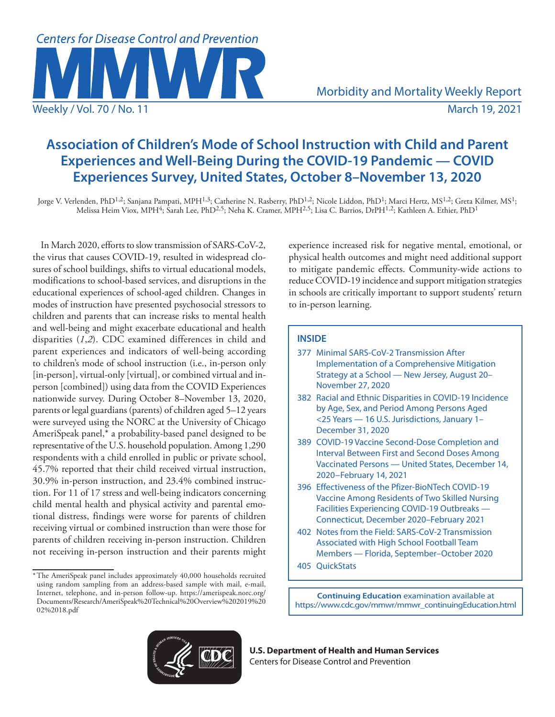

# **Association of Children's Mode of School Instruction with Child and Parent Experiences and Well-Being During the COVID-19 Pandemic — COVID Experiences Survey, United States, October 8–November 13, 2020**

Jorge V. Verlenden, PhD<sup>1,2</sup>; Sanjana Pampati, MPH<sup>1,3</sup>; Catherine N. Rasberry, PhD<sup>1,2</sup>; Nicole Liddon, PhD<sup>1</sup>; Marci Hertz, MS<sup>1,2</sup>; Greta Kilmer, MS<sup>1</sup>; Melissa Heim Viox, MPH4; Sarah Lee, PhD2,5; Neha K. Cramer, MPH2,5; Lisa C. Barrios, DrPH1,2; Kathleen A. Ethier, PhD1

In March 2020, efforts to slow transmission of SARS-CoV-2, the virus that causes COVID-19, resulted in widespread closures of school buildings, shifts to virtual educational models, modifications to school-based services, and disruptions in the educational experiences of school-aged children. Changes in modes of instruction have presented psychosocial stressors to children and parents that can increase risks to mental health and well-being and might exacerbate educational and health disparities (*1*,*2*). CDC examined differences in child and parent experiences and indicators of well-being according to children's mode of school instruction (i.e., in-person only [in-person], virtual-only [virtual], or combined virtual and inperson [combined]) using data from the COVID Experiences nationwide survey. During October 8–November 13, 2020, parents or legal guardians (parents) of children aged 5–12 years were surveyed using the NORC at the University of Chicago AmeriSpeak panel,\* a probability-based panel designed to be representative of the U.S. household population. Among 1,290 respondents with a child enrolled in public or private school, 45.7% reported that their child received virtual instruction, 30.9% in-person instruction, and 23.4% combined instruction. For 11 of 17 stress and well-being indicators concerning child mental health and physical activity and parental emotional distress, findings were worse for parents of children receiving virtual or combined instruction than were those for parents of children receiving in-person instruction. Children not receiving in-person instruction and their parents might

experience increased risk for negative mental, emotional, or physical health outcomes and might need additional support to mitigate pandemic effects. Community-wide actions to reduce COVID-19 incidence and support mitigation strategies in schools are critically important to support students' return to in-person learning.

## **INSIDE**

- 377 Minimal SARS-CoV-2 Transmission After Implementation of a Comprehensive Mitigation Strategy at a School — New Jersey, August 20– November 27, 2020
- 382 Racial and Ethnic Disparities in COVID-19 Incidence by Age, Sex, and Period Among Persons Aged <25 Years — 16 U.S. Jurisdictions, January 1– December 31, 2020
- 389 COVID-19 Vaccine Second-Dose Completion and Interval Between First and Second Doses Among Vaccinated Persons — United States, December 14, 2020−February 14, 2021
- 396 Effectiveness of the Pfizer-BioNTech COVID-19 Vaccine Among Residents of Two Skilled Nursing Facilities Experiencing COVID-19 Outbreaks — Connecticut, December 2020–February 2021
- 402 Notes from the Field: SARS-CoV-2 Transmission Associated with High School Football Team Members — Florida, September–October 2020
- 405 QuickStats

**Continuing Education** examination available at [https://www.cdc.gov/mmwr/mmwr\\_continuingEducation.html](https://www.cdc.gov/mmwr/mmwr_continuingEducation.html)



**U.S. Department of Health and Human Services** Centers for Disease Control and Prevention

<sup>\*</sup>The AmeriSpeak panel includes approximately 40,000 households recruited using random sampling from an address-based sample with mail, e-mail, Internet, telephone, and in-person follow-up. [https://amerispeak.norc.org/](https://amerispeak.norc.org/Documents/Research/AmeriSpeak%20Technical%20Overview%202019%2002%2018.pdf) [Documents/Research/AmeriSpeak%20Technical%20Overview%202019%20](https://amerispeak.norc.org/Documents/Research/AmeriSpeak%20Technical%20Overview%202019%2002%2018.pdf) [02%2018.pdf](https://amerispeak.norc.org/Documents/Research/AmeriSpeak%20Technical%20Overview%202019%2002%2018.pdf)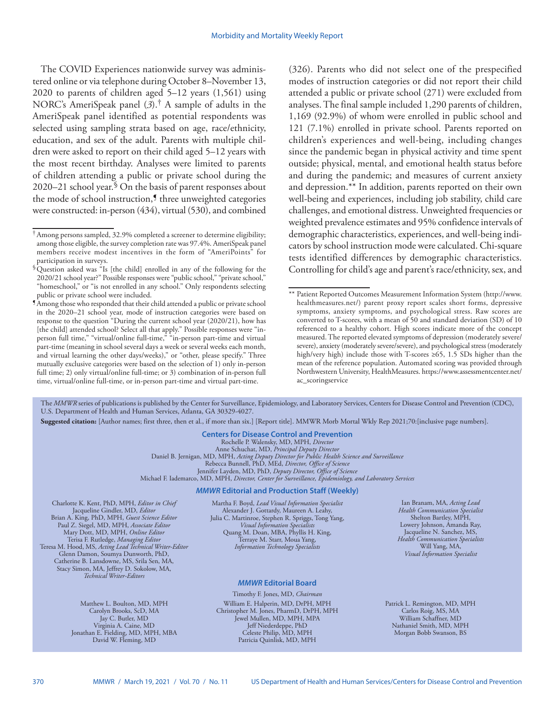The COVID Experiences nationwide survey was administered online or via telephone during October 8–November 13, 2020 to parents of children aged 5–12 years (1,561) using NORC's AmeriSpeak panel (*3*).† A sample of adults in the AmeriSpeak panel identified as potential respondents was selected using sampling strata based on age, race/ethnicity, education, and sex of the adult. Parents with multiple children were asked to report on their child aged 5–12 years with the most recent birthday. Analyses were limited to parents of children attending a public or private school during the 2020–21 school year.  $\delta$  On the basis of parent responses about the mode of school instruction,<sup>5</sup> three unweighted categories were constructed: in-person (434), virtual (530), and combined (326). Parents who did not select one of the prespecified modes of instruction categories or did not report their child attended a public or private school (271) were excluded from analyses. The final sample included 1,290 parents of children, 1,169 (92.9%) of whom were enrolled in public school and 121 (7.1%) enrolled in private school. Parents reported on children's experiences and well-being, including changes since the pandemic began in physical activity and time spent outside; physical, mental, and emotional health status before and during the pandemic; and measures of current anxiety and depression.\*\* In addition, parents reported on their own well-being and experiences, including job stability, child care challenges, and emotional distress. Unweighted frequencies or weighted prevalence estimates and 95% confidence intervals of demographic characteristics, experiences, and well-being indicators by school instruction mode were calculated. Chi-square tests identified differences by demographic characteristics. Controlling for child's age and parent's race/ethnicity, sex, and

The *MMWR* series of publications is published by the Center for Surveillance, Epidemiology, and Laboratory Services, Centers for Disease Control and Prevention (CDC), U.S. Department of Health and Human Services, Atlanta, GA 30329-4027.

**Suggested citation:** [Author names; first three, then et al., if more than six.] [Report title]. MMWR Morb Mortal Wkly Rep 2021;70:[inclusive page numbers].

**Centers for Disease Control and Prevention** Rochelle P. Walensky, MD, MPH, *Director* Anne Schuchat, MD, *Principal Deputy Director* Daniel B. Jernigan, MD, MPH, *Acting Deputy Director for Public Health Science and Surveillance* Rebecca Bunnell, PhD, MEd, *Director, Office of Science* Jennifer Layden, MD, PhD, *Deputy Director, Office of Science* Michael F. Iademarco, MD, MPH, *Director, Center for Surveillance, Epidemiology, and Laboratory Services* 

#### *MMWR* **Editorial and Production Staff (Weekly)**

Charlotte K. Kent, PhD, MPH, *Editor in Chief*  Jacqueline Gindler, MD, *Editor* Brian A. King, PhD, MPH, *Guest Science Editor* Paul Z. Siegel, MD, MPH, *Associate Editor* Mary Dott, MD, MPH, *Online Editor* Terisa F. Rutledge, *Managing Editor*  Teresa M. Hood, MS, *Acting Lead Technical Writer-Editor* Glenn Damon, Soumya Dunworth, PhD, Catherine B. Lansdowne, MS, Srila Sen, MA, Stacy Simon, MA, Jeffrey D. Sokolow, MA, *Technical Writer-Editors*

> Matthew L. Boulton, MD, MPH Carolyn Brooks, ScD, MA Jay C. Butler, MD Virginia A. Caine, MD Jonathan E. Fielding, MD, MPH, MBA David W. Fleming, MD

Martha F. Boyd, *Lead Visual Information Specialist* Alexander J. Gottardy, Maureen A. Leahy, Julia C. Martinroe, Stephen R. Spriggs, Tong Yang, *Visual Information Specialists* Quang M. Doan, MBA, Phyllis H. King, Terraye M. Starr, Moua Yang, *Information Technology Specialists*

## *MMWR* **Editorial Board**

Timothy F. Jones, MD, *Chairman* William E. Halperin, MD, DrPH, MPH Christopher M. Jones, PharmD, DrPH, MPH Jewel Mullen, MD, MPH, MPA Jeff Niederdeppe, PhD Celeste Philip, MD, MPH Patricia Quinlisk, MD, MPH

Ian Branam, MA, *Acting Lead Health Communication Specialist* Shelton Bartley, MPH, Lowery Johnson, Amanda Ray, Jacqueline N. Sanchez, MS, *Health Communication Specialists* Will Yang, MA, *Visual Information Specialist*

Patrick L. Remington, MD, MPH Carlos Roig, MS, MA William Schaffner, MD Nathaniel Smith, MD, MPH Morgan Bobb Swanson, BS

<sup>†</sup>Among persons sampled, 32.9% completed a screener to determine eligibility; among those eligible, the survey completion rate was 97.4%. AmeriSpeak panel members receive modest incentives in the form of "AmeriPoints" for participation in surveys.

<sup>§</sup>Question asked was "Is [the child] enrolled in any of the following for the 2020/21 school year?" Possible responses were "public school," "private school," "homeschool," or "is not enrolled in any school." Only respondents selecting public or private school were included.

<sup>¶</sup>Among those who responded that their child attended a public or private school in the 2020–21 school year, mode of instruction categories were based on response to the question "During the current school year (2020/21), how has [the child] attended school? Select all that apply." Possible responses were "inperson full time," "virtual/online full-time," "in-person part-time and virtual part-time (meaning in school several days a week or several weeks each month, and virtual learning the other days/weeks)," or "other, please specify." Three mutually exclusive categories were based on the selection of 1) only in-person full time; 2) only virtual/online full-time; or 3) combination of in-person full time, virtual/online full-time, or in-person part-time and virtual part-time.

<sup>\*\*</sup> Patient Reported Outcomes Measurement Information System [\(http://www.](http://www.healthmeasures.net/) [healthmeasures.net/](http://www.healthmeasures.net/)) parent proxy report scales short forms, depressive symptoms, anxiety symptoms, and psychological stress. Raw scores are converted to T-scores, with a mean of 50 and standard deviation (SD) of 10 referenced to a healthy cohort. High scores indicate more of the concept measured. The reported elevated symptoms of depression (moderately severe/ severe), anxiety (moderately severe/severe), and psychological stress (moderately high/very high) include those with T-scores ≥65, 1.5 SDs higher than the mean of the reference population. Automated scoring was provided through Northwestern University, HealthMeasures. [https://www.assessmentcenter.net/](https://www.assessmentcenter.net/ac_scoringservice) [ac\\_scoringservice](https://www.assessmentcenter.net/ac_scoringservice)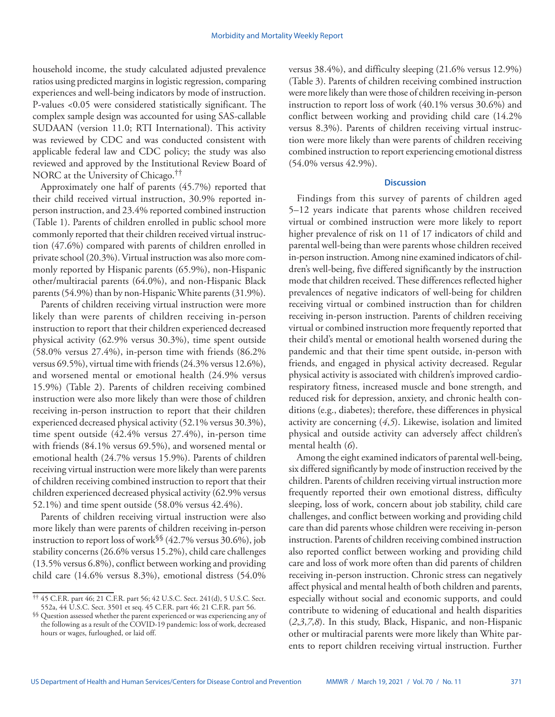household income, the study calculated adjusted prevalence ratios using predicted margins in logistic regression, comparing experiences and well-being indicators by mode of instruction. P-values <0.05 were considered statistically significant. The complex sample design was accounted for using SAS-callable SUDAAN (version 11.0; RTI International). This activity was reviewed by CDC and was conducted consistent with applicable federal law and CDC policy; the study was also reviewed and approved by the Institutional Review Board of NORC at the University of Chicago.††

Approximately one half of parents (45.7%) reported that their child received virtual instruction, 30.9% reported inperson instruction, and 23.4% reported combined instruction (Table 1). Parents of children enrolled in public school more commonly reported that their children received virtual instruction (47.6%) compared with parents of children enrolled in private school (20.3%). Virtual instruction was also more commonly reported by Hispanic parents (65.9%), non-Hispanic other/multiracial parents (64.0%), and non-Hispanic Black parents (54.9%) than by non-Hispanic White parents (31.9%).

Parents of children receiving virtual instruction were more likely than were parents of children receiving in-person instruction to report that their children experienced decreased physical activity (62.9% versus 30.3%), time spent outside (58.0% versus 27.4%), in-person time with friends (86.2% versus 69.5%), virtual time with friends (24.3% versus 12.6%), and worsened mental or emotional health (24.9% versus 15.9%) (Table 2). Parents of children receiving combined instruction were also more likely than were those of children receiving in-person instruction to report that their children experienced decreased physical activity (52.1% versus 30.3%), time spent outside (42.4% versus 27.4%), in-person time with friends (84.1% versus 69.5%), and worsened mental or emotional health (24.7% versus 15.9%). Parents of children receiving virtual instruction were more likely than were parents of children receiving combined instruction to report that their children experienced decreased physical activity (62.9% versus 52.1%) and time spent outside (58.0% versus 42.4%).

Parents of children receiving virtual instruction were also more likely than were parents of children receiving in-person instruction to report loss of work<sup>§§</sup> (42.7% versus 30.6%), job stability concerns (26.6% versus 15.2%), child care challenges (13.5% versus 6.8%), conflict between working and providing child care (14.6% versus 8.3%), emotional distress (54.0% versus 38.4%), and difficulty sleeping (21.6% versus 12.9%) (Table 3). Parents of children receiving combined instruction were more likely than were those of children receiving in-person instruction to report loss of work (40.1% versus 30.6%) and conflict between working and providing child care (14.2% versus 8.3%). Parents of children receiving virtual instruction were more likely than were parents of children receiving combined instruction to report experiencing emotional distress (54.0% versus 42.9%).

## **Discussion**

Findings from this survey of parents of children aged 5–12 years indicate that parents whose children received virtual or combined instruction were more likely to report higher prevalence of risk on 11 of 17 indicators of child and parental well-being than were parents whose children received in-person instruction. Among nine examined indicators of children's well-being, five differed significantly by the instruction mode that children received. These differences reflected higher prevalences of negative indicators of well-being for children receiving virtual or combined instruction than for children receiving in-person instruction. Parents of children receiving virtual or combined instruction more frequently reported that their child's mental or emotional health worsened during the pandemic and that their time spent outside, in-person with friends, and engaged in physical activity decreased. Regular physical activity is associated with children's improved cardiorespiratory fitness, increased muscle and bone strength, and reduced risk for depression, anxiety, and chronic health conditions (e.g., diabetes); therefore, these differences in physical activity are concerning (*4*,*5*). Likewise, isolation and limited physical and outside activity can adversely affect children's mental health (*6*).

Among the eight examined indicators of parental well-being, six differed significantly by mode of instruction received by the children. Parents of children receiving virtual instruction more frequently reported their own emotional distress, difficulty sleeping, loss of work, concern about job stability, child care challenges, and conflict between working and providing child care than did parents whose children were receiving in-person instruction. Parents of children receiving combined instruction also reported conflict between working and providing child care and loss of work more often than did parents of children receiving in-person instruction. Chronic stress can negatively affect physical and mental health of both children and parents, especially without social and economic supports, and could contribute to widening of educational and health disparities (*2*,*3*,*7*,*8*). In this study, Black, Hispanic, and non-Hispanic other or multiracial parents were more likely than White parents to report children receiving virtual instruction. Further

<sup>††</sup> 45 C.F.R. part 46; 21 C.F.R. part 56; 42 U.S.C. Sect. 241(d), 5 U.S.C. Sect. 552a, 44 U.S.C. Sect. 3501 et seq. 45 C.F.R. part 46; 21 C.F.R. part 56.

<sup>§§</sup> Question assessed whether the parent experienced or was experiencing any of the following as a result of the COVID-19 pandemic: loss of work, decreased hours or wages, furloughed, or laid off.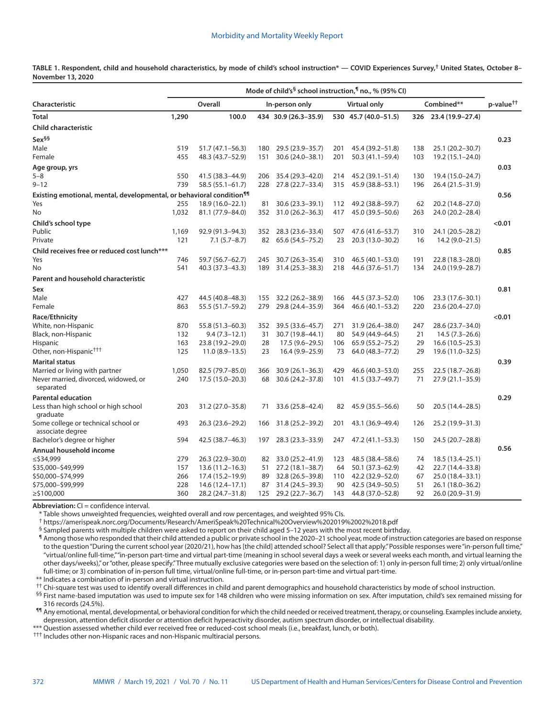**TABLE 1. Respondent, child and household characteristics, by mode of child's school instruction\* — COVID Experiences Survey,† United States, October 8– November 13, 2020**

|                                                                                  | Mode of child's <sup>§</sup> school instruction, <sup>¶</sup> no., % (95% CI) |                     |                |                      |                     |                      |            |                      |                       |
|----------------------------------------------------------------------------------|-------------------------------------------------------------------------------|---------------------|----------------|----------------------|---------------------|----------------------|------------|----------------------|-----------------------|
| Characteristic                                                                   | Overall                                                                       |                     | In-person only |                      | <b>Virtual only</b> |                      | Combined** |                      | p-value <sup>††</sup> |
| Total                                                                            | 1,290                                                                         | 100.0               |                | 434 30.9 (26.3-35.9) |                     | 530 45.7 (40.0-51.5) |            | 326 23.4 (19.9-27.4) |                       |
| <b>Child characteristic</b>                                                      |                                                                               |                     |                |                      |                     |                      |            |                      |                       |
| Sex <sup>§§</sup>                                                                |                                                                               |                     |                |                      |                     |                      |            |                      | 0.23                  |
| Male                                                                             | 519                                                                           | 51.7 (47.1-56.3)    | 180            | 29.5 (23.9 - 35.7)   | 201                 | 45.4 (39.2-51.8)     | 138        | 25.1 (20.2-30.7)     |                       |
| Female                                                                           | 455                                                                           | 48.3 (43.7-52.9)    | 151            | 30.6 (24.0-38.1)     | 201                 | 50.3 (41.1-59.4)     | 103        | 19.2 (15.1-24.0)     |                       |
| Age group, yrs                                                                   |                                                                               |                     |                |                      |                     |                      |            |                      | 0.03                  |
| $5 - 8$                                                                          | 550                                                                           | 41.5 (38.3-44.9)    | 206            | 35.4 (29.3-42.0)     | 214                 | 45.2 (39.1-51.4)     | 130        | 19.4 (15.0-24.7)     |                       |
| $9 - 12$                                                                         | 739                                                                           | $58.5(55.1 - 61.7)$ | 228            | 27.8 (22.7-33.4)     | 315                 | 45.9 (38.8-53.1)     | 196        | 26.4 (21.5–31.9)     |                       |
| Existing emotional, mental, developmental, or behavioral condition <sup>11</sup> |                                                                               |                     |                |                      |                     |                      |            |                      | 0.56                  |
| Yes                                                                              | 255                                                                           | 18.9 (16.0-22.1)    | 81             | 30.6 (23.3-39.1)     | 112                 | 49.2 (38.8-59.7)     | 62         | 20.2 (14.8-27.0)     |                       |
| No                                                                               | 1,032                                                                         | 81.1 (77.9-84.0)    | 352            | $31.0(26.2 - 36.3)$  | 417                 | 45.0 (39.5 - 50.6)   | 263        | 24.0 (20.2-28.4)     |                       |
| Child's school type                                                              |                                                                               |                     |                |                      |                     |                      |            |                      | < 0.01                |
| Public                                                                           | 1,169                                                                         | 92.9 (91.3-94.3)    | 352            | 28.3 (23.6-33.4)     | 507                 | 47.6 (41.6-53.7)     | 310        | 24.1 (20.5-28.2)     |                       |
| Private                                                                          | 121                                                                           | $7.1(5.7-8.7)$      | 82             | 65.6 (54.5 - 75.2)   | 23                  | 20.3 (13.0-30.2)     | 16         | $14.2(9.0-21.5)$     |                       |
| Child receives free or reduced cost lunch***                                     |                                                                               |                     |                |                      |                     |                      |            |                      | 0.85                  |
| Yes                                                                              | 746                                                                           | 59.7 (56.7-62.7)    | 245            | 30.7 (26.3-35.4)     | 310                 | 46.5 (40.1-53.0)     | 191        | 22.8 (18.3-28.0)     |                       |
| No                                                                               | 541                                                                           | 40.3 (37.3-43.3)    | 189            | $31.4(25.3 - 38.3)$  | 218                 | 44.6 (37.6-51.7)     | 134        | 24.0 (19.9-28.7)     |                       |
| <b>Parent and household characteristic</b>                                       |                                                                               |                     |                |                      |                     |                      |            |                      |                       |
| Sex                                                                              |                                                                               |                     |                |                      |                     |                      |            |                      | 0.81                  |
| Male                                                                             | 427                                                                           | 44.5 (40.8-48.3)    | 155            | 32.2 (26.2-38.9)     | 166                 | 44.5 (37.3-52.0)     | 106        | 23.3 (17.6-30.1)     |                       |
| Female                                                                           | 863                                                                           | 55.5 (51.7-59.2)    | 279            | 29.8 (24.4-35.9)     | 364                 | $46.6(40.1 - 53.2)$  | 220        | 23.6 (20.4-27.0)     |                       |
| Race/Ethnicity                                                                   |                                                                               |                     |                |                      |                     |                      |            |                      | < 0.01                |
| White, non-Hispanic                                                              | 870                                                                           | 55.8 (51.3-60.3)    | 352            | 39.5 (33.6-45.7)     | 271                 | 31.9 (26.4-38.0)     | 247        | 28.6 (23.7-34.0)     |                       |
| Black, non-Hispanic                                                              | 132                                                                           | $9.4(7.3-12.1)$     | 31             | 30.7 (19.8-44.1)     | 80                  | 54.9 (44.9-64.5)     | 21         | $14.5(7.3-26.6)$     |                       |
| Hispanic                                                                         | 163                                                                           | 23.8 (19.2-29.0)    | 28             | 17.5 (9.6–29.5)      | 106                 | 65.9 (55.2-75.2)     | 29         | $16.6(10.5-25.3)$    |                       |
| Other, non-Hispanic <sup>†††</sup>                                               | 125                                                                           | $11.0(8.9-13.5)$    | 23             | $16.4(9.9-25.9)$     | 73                  | 64.0 (48.3-77.2)     | 29         | 19.6 (11.0-32.5)     |                       |
| <b>Marital status</b>                                                            |                                                                               |                     |                |                      |                     |                      |            |                      | 0.39                  |
| Married or living with partner                                                   | 1,050                                                                         | 82.5 (79.7-85.0)    | 366            | $30.9(26.1 - 36.3)$  | 429                 | 46.6 (40.3-53.0)     | 255        | $22.5(18.7 - 26.8)$  |                       |
| Never married, divorced, widowed, or                                             | 240                                                                           | $17.5(15.0 - 20.3)$ | 68             | 30.6 (24.2-37.8)     | 101                 | 41.5 (33.7-49.7)     | 71         | 27.9 (21.1-35.9)     |                       |
| separated                                                                        |                                                                               |                     |                |                      |                     |                      |            |                      |                       |
| Parental education                                                               |                                                                               |                     |                |                      |                     |                      |            |                      | 0.29                  |
| Less than high school or high school<br>graduate                                 | 203                                                                           | 31.2 (27.0-35.8)    | 71             | 33.6 (25.8-42.4)     | 82                  | 45.9 (35.5 - 56.6)   | 50         | 20.5 (14.4–28.5)     |                       |
| Some college or technical school or<br>associate degree                          | 493                                                                           | 26.3 (23.6 - 29.2)  | 166            | 31.8 (25.2-39.2)     | 201                 | 43.1 (36.9-49.4)     | 126        | 25.2 (19.9 - 31.3)   |                       |
| Bachelor's degree or higher                                                      | 594                                                                           | 42.5 (38.7-46.3)    | 197            | 28.3 (23.3-33.9)     | 247                 | 47.2 (41.1-53.3)     | 150        | 24.5 (20.7-28.8)     |                       |
| Annual household income                                                          |                                                                               |                     |                |                      |                     |                      |            |                      | 0.56                  |
| $\le$ \$34,999                                                                   | 279                                                                           | 26.3 (22.9 - 30.0)  | 82             | 33.0 (25.2-41.9)     | 123                 | 48.5 (38.4 - 58.6)   | 74         | 18.5 (13.4 - 25.1)   |                       |
| \$35,000-\$49,999                                                                | 157                                                                           | $13.6(11.2 - 16.3)$ | 51             | $27.2(18.1 - 38.7)$  | 64                  | 50.1 (37.3–62.9)     | 42         | 22.7 (14.4–33.8)     |                       |
| \$50,000-\$74,999                                                                | 266                                                                           | 17.4 (15.2-19.9)    | 89             | 32.8 (26.5-39.8)     | 110                 | 42.2 (32.9 - 52.0)   | 67         | 25.0 (18.4-33.1)     |                       |
| \$75,000-\$99,999                                                                | 228                                                                           | 14.6 (12.4–17.1)    | 87             | 31.4 (24.5-39.3)     | 90                  | 42.5 (34.9-50.5)     | 51         | 26.1 (18.0-36.2)     |                       |
| $≥$ \$100,000                                                                    | 360                                                                           | 28.2 (24.7–31.8)    | 125            | 29.2 (22.7–36.7)     | 143                 | 44.8 (37.0–52.8)     | 92         | 26.0 (20.9-31.9)     |                       |

**Abbreviation:** CI = confidence interval.

\* Table shows unweighted frequencies, weighted overall and row percentages, and weighted 95% CIs.

† <https://amerispeak.norc.org/Documents/Research/AmeriSpeak%20Technical%20Overview%202019%2002%2018.pdf>

 $\frac{1}{2}$  Sampled parents with multiple children were asked to report on their child aged 5–12 years with the most recent birthday.

¶ Among those who responded that their child attended a public or private school in the 2020–21 school year, mode of instruction categories are based on response to the question "During the current school year (2020/21), how has [the child] attended school? Select all that apply." Possible responses were "in-person full time," "virtual/online full-time," "in-person part-time and virtual part-time (meaning in school several days a week or several weeks each month, and virtual learning the other days/weeks)," or "other, please specify." Three mutually exclusive categories were based on the selection of: 1) only in-person full time; 2) only virtual/online full-time; or 3) combination of in-person full time, virtual/online full-time, or in-person part-time and virtual part-time.

\*\* Indicates a combination of in-person and virtual instruction.

†† Chi-square test was used to identify overall differences in child and parent demographics and household characteristics by mode of school instruction.

<sup>§§</sup> First name-based imputation was used to impute sex for 148 children who were missing information on sex. After imputation, child's sex remained missing for 316 records (24.5%).

¶¶ Any emotional, mental, developmental, or behavioral condition for which the child needed or received treatment, therapy, or counseling. Examples include anxiety, depression, attention deficit disorder or attention deficit hyperactivity disorder, autism spectrum disorder, or intellectual disability.

\*\*\* Question assessed whether child ever received free or reduced-cost school meals (i.e., breakfast, lunch, or both).

††† Includes other non-Hispanic races and non-Hispanic multiracial persons.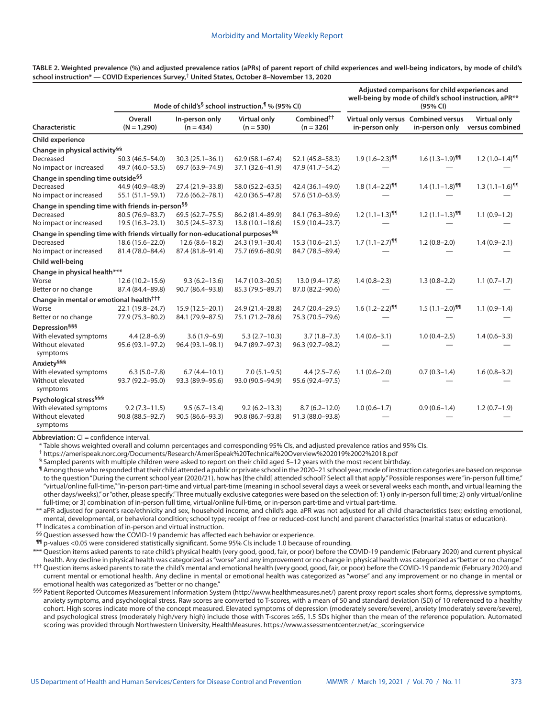|                                                                                               |                                         |                                           | Mode of child's <sup>§</sup> school instruction, <sup>1</sup> % (95% CI) | Adjusted comparisons for child experiences and<br>well-being by mode of child's school instruction, aPR**<br>(95% CI) |                                                       |                              |                                 |
|-----------------------------------------------------------------------------------------------|-----------------------------------------|-------------------------------------------|--------------------------------------------------------------------------|-----------------------------------------------------------------------------------------------------------------------|-------------------------------------------------------|------------------------------|---------------------------------|
| Characteristic                                                                                | Overall<br>$(N = 1,290)$                | In-person only<br>$(n = 434)$             | <b>Virtual only</b><br>$(n = 530)$                                       | Combined <sup>††</sup><br>$(n = 326)$                                                                                 | Virtual only versus Combined versus<br>in-person only | in-person only               | Virtual only<br>versus combined |
| <b>Child experience</b>                                                                       |                                         |                                           |                                                                          |                                                                                                                       |                                                       |                              |                                 |
| Change in physical activity <sup>§§</sup>                                                     |                                         |                                           |                                                                          |                                                                                                                       |                                                       |                              |                                 |
| Decreased<br>No impact or increased                                                           | 50.3 (46.5-54.0)<br>49.7 (46.0-53.5)    | $30.3(25.1 - 36.1)$<br>69.7 (63.9-74.9)   | $62.9(58.1 - 67.4)$<br>37.1 (32.6-41.9)                                  | 52.1 (45.8-58.3)<br>47.9 (41.7-54.2)                                                                                  | $1.9(1.6-2.3)$ <sup>11</sup>                          | $1.6(1.3-1.9)$ <sup>11</sup> | $1.2(1.0-1.4)$ <sup>11</sup>    |
| Change in spending time outside <sup>§§</sup>                                                 |                                         |                                           |                                                                          |                                                                                                                       |                                                       |                              |                                 |
| Decreased<br>No impact or increased                                                           | 44.9 (40.9-48.9)<br>55.1 (51.1-59.1)    | 27.4 (21.9-33.8)<br>72.6 (66.2-78.1)      | 58.0 (52.2-63.5)<br>42.0 (36.5-47.8)                                     | 42.4 (36.1-49.0)<br>57.6 (51.0-63.9)                                                                                  | $1.8(1.4-2.2)$ <sup>11</sup>                          | $1.4(1.1-1.8)$ <sup>11</sup> | $1.3(1.1-1.6)$ <sup>11</sup>    |
| Change in spending time with friends in-person <sup>§§</sup>                                  |                                         |                                           |                                                                          |                                                                                                                       |                                                       |                              |                                 |
| Decreased<br>No impact or increased                                                           | 80.5 (76.9-83.7)<br>19.5 (16.3-23.1)    | 69.5 (62.7 - 75.5)<br>$30.5(24.5 - 37.3)$ | 86.2 (81.4-89.9)<br>$13.8(10.1 - 18.6)$                                  | 84.1 (76.3-89.6)<br>15.9 (10.4-23.7)                                                                                  | $1.2(1.1-1.3)$ <sup>91</sup>                          | $1.2(1.1-1.3)$ <sup>11</sup> | $1.1(0.9-1.2)$                  |
| Change in spending time with friends virtually for non-educational purposes <sup>§§</sup>     |                                         |                                           |                                                                          |                                                                                                                       |                                                       |                              |                                 |
| Decreased<br>No impact or increased                                                           | 18.6 (15.6-22.0)<br>81.4 (78.0-84.4)    | $12.6(8.6 - 18.2)$<br>87.4 (81.8-91.4)    | 24.3 (19.1-30.4)<br>75.7 (69.6-80.9)                                     | $15.3(10.6 - 21.5)$<br>84.7 (78.5-89.4)                                                                               | $1.7(1.1-2.7)$ <sup>91</sup>                          | $1.2(0.8-2.0)$               | $1.4(0.9-2.1)$                  |
| Child well-being                                                                              |                                         |                                           |                                                                          |                                                                                                                       |                                                       |                              |                                 |
| Change in physical health***                                                                  |                                         |                                           |                                                                          |                                                                                                                       |                                                       |                              |                                 |
| Worse<br>Better or no change                                                                  | $12.6(10.2 - 15.6)$<br>87.4 (84.4-89.8) | $9.3(6.2 - 13.6)$<br>90.7 (86.4-93.8)     | $14.7(10.3 - 20.5)$<br>85.3 (79.5-89.7)                                  | 13.0 (9.4-17.8)<br>87.0 (82.2-90.6)                                                                                   | $1.4(0.8-2.3)$                                        | $1.3(0.8-2.2)$               | $1.1(0.7-1.7)$                  |
| Change in mental or emotional health <sup>†††</sup>                                           |                                         |                                           |                                                                          |                                                                                                                       |                                                       |                              |                                 |
| Worse                                                                                         | 22.1 (19.8-24.7)                        | 15.9 (12.5-20.1)                          | 24.9 (21.4-28.8)                                                         | 24.7 (20.4-29.5)                                                                                                      | $1.6(1.2 - 2.2)$ <sup>11</sup>                        | $1.5(1.1-2.0)$ <sup>11</sup> | $1.1(0.9-1.4)$                  |
| Better or no change                                                                           | 77.9 (75.3-80.2)                        | 84.1 (79.9-87.5)                          | 75.1 (71.2–78.6)                                                         | 75.3 (70.5-79.6)                                                                                                      |                                                       |                              |                                 |
| Depression § § §                                                                              |                                         |                                           |                                                                          |                                                                                                                       |                                                       |                              |                                 |
| With elevated symptoms<br>Without elevated<br>symptoms                                        | $4.4(2.8-6.9)$<br>95.6 (93.1-97.2)      | $3.6(1.9-6.9)$<br>96.4 (93.1-98.1)        | $5.3(2.7-10.3)$<br>94.7 (89.7-97.3)                                      | $3.7(1.8 - 7.3)$<br>96.3 (92.7-98.2)                                                                                  | $1.4(0.6-3.1)$                                        | $1.0(0.4-2.5)$               | $1.4(0.6-3.3)$                  |
| Anxiety <sup>§§§</sup>                                                                        |                                         |                                           |                                                                          |                                                                                                                       |                                                       |                              |                                 |
| With elevated symptoms<br>Without elevated<br>symptoms                                        | $6.3(5.0 - 7.8)$<br>93.7 (92.2-95.0)    | $6.7(4.4 - 10.1)$<br>93.3 (89.9-95.6)     | $7.0(5.1-9.5)$<br>93.0 (90.5-94.9)                                       | $4.4(2.5 - 7.6)$<br>95.6 (92.4-97.5)                                                                                  | $1.1(0.6-2.0)$                                        | $0.7(0.3-1.4)$               | $1.6(0.8-3.2)$                  |
| Psychological stress <sup>§§§</sup><br>With elevated symptoms<br>Without elevated<br>symptoms | $9.2(7.3 - 11.5)$<br>90.8 (88.5-92.7)   | $9.5(6.7-13.4)$<br>90.5 (86.6-93.3)       | $9.2(6.2 - 13.3)$<br>90.8 (86.7-93.8)                                    | $8.7(6.2 - 12.0)$<br>91.3 (88.0-93.8)                                                                                 | $1.0(0.6-1.7)$                                        | $0.9(0.6-1.4)$               | $1.2(0.7-1.9)$                  |

**TABLE 2. Weighted prevalence (%) and adjusted prevalence ratios (aPRs) of parent report of child experiences and well-being indicators, by mode of child's school instruction\* — COVID Experiences Survey,**† **United States, October 8–November 13, 2020**

**Abbreviation:** CI = confidence interval.

\* Table shows weighted overall and column percentages and corresponding 95% CIs, and adjusted prevalence ratios and 95% CIs.

† <https://amerispeak.norc.org/Documents/Research/AmeriSpeak%20Technical%20Overview%202019%2002%2018.pdf>

 $\frac{1}{3}$  Sampled parents with multiple children were asked to report on their child aged 5–12 years with the most recent birthday.

¶ Among those who responded that their child attended a public or private school in the 2020–21 school year, mode of instruction categories are based on response to the question "During the current school year (2020/21), how has [the child] attended school? Select all that apply." Possible responses were "in-person full time," "virtual/online full-time," "in-person part-time and virtual part-time (meaning in school several days a week or several weeks each month, and virtual learning the other days/weeks)," or "other, please specify." Three mutually exclusive categories were based on the selection of: 1) only in-person full time; 2) only virtual/online full-time; or 3) combination of in-person full time, virtual/online full-time, or in-person part-time and virtual part-time.

\*\* aPR adjusted for parent's race/ethnicity and sex, household income, and child's age. aPR was not adjusted for all child characteristics (sex; existing emotional, mental, developmental, or behavioral condition; school type; receipt of free or reduced-cost lunch) and parent characteristics (marital status or education).

†† Indicates a combination of in-person and virtual instruction.

§§ Question assessed how the COVID-19 pandemic has affected each behavior or experience.

¶¶ p-values <0.05 were considered statistically significant. Some 95% CIs include 1.0 because of rounding.

\*\*\* Question items asked parents to rate child's physical health (very good, good, fair, or poor) before the COVID-19 pandemic (February 2020) and current physical health. Any decline in physical health was categorized as "worse" and any improvement or no change in physical health was categorized as "better or no change."

††† Question items asked parents to rate the child's mental and emotional health (very good, good, fair, or poor) before the COVID-19 pandemic (February 2020) and current mental or emotional health. Any decline in mental or emotional health was categorized as "worse" and any improvement or no change in mental or emotional health was categorized as "better or no change."

§§§ Patient Reported Outcomes Measurement Information System [\(http://www.healthmeasures.net/](http://www.healthmeasures.net/)) parent proxy report scales short forms, depressive symptoms, anxiety symptoms, and psychological stress. Raw scores are converted to T-scores, with a mean of 50 and standard deviation (SD) of 10 referenced to a healthy cohort. High scores indicate more of the concept measured. Elevated symptoms of depression (moderately severe/severe), anxiety (moderately severe/severe), and psychological stress (moderately high/very high) include those with T-scores ≥65, 1.5 SDs higher than the mean of the reference population. Automated scoring was provided through Northwestern University, HealthMeasures. [https://www.assessmentcenter.net/ac\\_scoringservice](https://www.assessmentcenter.net/ac_scoringservice)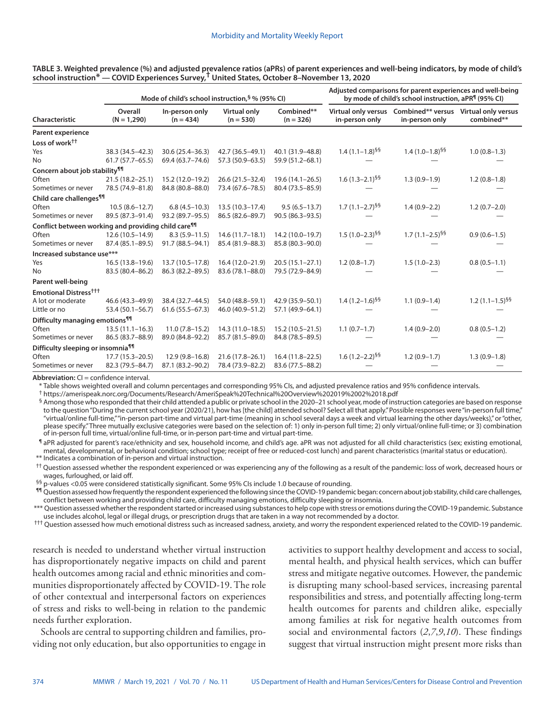| TABLE 3. Weighted prevalence (%) and adjusted prevalence ratios (aPRs) of parent experiences and well-being indicators, by mode of child's |  |
|--------------------------------------------------------------------------------------------------------------------------------------------|--|
| school instruction* — COVID Experiences Survey, <sup>T</sup> United States, October 8-November 13, 2020                                    |  |

|                                                                 |                          |                               | Mode of child's school instruction, § % (95% CI) | Adjusted comparisons for parent experiences and well-being<br>by mode of child's school instruction, aPR <sup>¶</sup> (95% CI) |                       |                                                                             |                     |  |
|-----------------------------------------------------------------|--------------------------|-------------------------------|--------------------------------------------------|--------------------------------------------------------------------------------------------------------------------------------|-----------------------|-----------------------------------------------------------------------------|---------------------|--|
| Characteristic                                                  | Overall<br>$(N = 1,290)$ | In-person only<br>$(n = 434)$ | Virtual only<br>$(n = 530)$                      |                                                                                                                                | in-person only        | Virtual only versus Combined** versus Virtual only versus<br>in-person only | combined**          |  |
| <b>Parent experience</b>                                        |                          |                               |                                                  |                                                                                                                                |                       |                                                                             |                     |  |
| Loss of work <sup>††</sup>                                      |                          |                               |                                                  |                                                                                                                                |                       |                                                                             |                     |  |
| Yes                                                             | 38.3 (34.5-42.3)         | 30.6 (25.4-36.3)              | 42.7 (36.5-49.1)                                 | 40.1 (31.9-48.8)                                                                                                               | $1.4(1.1-1.8)^{55}$   | $1.4(1.0-1.8)^{55}$                                                         | $1.0(0.8-1.3)$      |  |
| No                                                              | $61.7(57.7 - 65.5)$      | 69.4 (63.7-74.6)              | 57.3 (50.9 - 63.5)                               | 59.9 (51.2-68.1)                                                                                                               |                       |                                                                             |                     |  |
| Concern about job stability <sup>11</sup>                       |                          |                               |                                                  |                                                                                                                                |                       |                                                                             |                     |  |
| Often                                                           | $21.5(18.2 - 25.1)$      | 15.2 (12.0-19.2)              | 26.6 (21.5-32.4)                                 | $19.6(14.1 - 26.5)$                                                                                                            | $1.6(1.3-2.1)^{55}$   | $1.3(0.9-1.9)$                                                              | $1.2(0.8-1.8)$      |  |
| Sometimes or never                                              | 78.5 (74.9-81.8)         | 84.8 (80.8-88.0)              | 73.4 (67.6-78.5)                                 | 80.4 (73.5-85.9)                                                                                                               |                       |                                                                             |                     |  |
| Child care challenges <sup>11</sup>                             |                          |                               |                                                  |                                                                                                                                |                       |                                                                             |                     |  |
| Often                                                           | $10.5(8.6 - 12.7)$       | $6.8(4.5-10.3)$               | $13.5(10.3 - 17.4)$                              | $9.5(6.5 - 13.7)$                                                                                                              | $1.7(1.1 - 2.7)^{55}$ | $1.4(0.9-2.2)$                                                              | $1.2(0.7-2.0)$      |  |
| Sometimes or never                                              | 89.5 (87.3-91.4)         | 93.2 (89.7-95.5)              | 86.5 (82.6-89.7)                                 | 90.5 (86.3-93.5)                                                                                                               |                       |                                                                             |                     |  |
| Conflict between working and providing child care <sup>11</sup> |                          |                               |                                                  |                                                                                                                                |                       |                                                                             |                     |  |
| Often                                                           | $12.6(10.5 - 14.9)$      | $8.3(5.9 - 11.5)$             | $14.6(11.7-18.1)$                                | 14.2 (10.0-19.7)                                                                                                               | $1.5(1.0-2.3)^{55}$   | $1.7(1.1-2.5)^{55}$                                                         | $0.9(0.6-1.5)$      |  |
| Sometimes or never                                              | 87.4 (85.1-89.5)         | 91.7 (88.5-94.1)              | 85.4 (81.9-88.3)                                 | 85.8 (80.3-90.0)                                                                                                               |                       |                                                                             |                     |  |
| Increased substance use***                                      |                          |                               |                                                  |                                                                                                                                |                       |                                                                             |                     |  |
| Yes                                                             | $16.5(13.8-19.6)$        | 13.7 (10.5-17.8)              | 16.4 (12.0-21.9)                                 | $20.5(15.1-27.1)$                                                                                                              | $1.2(0.8-1.7)$        | $1.5(1.0-2.3)$                                                              | $0.8(0.5-1.1)$      |  |
| No                                                              | 83.5 (80.4-86.2)         | 86.3 (82.2-89.5)              | 83.6 (78.1-88.0)                                 | 79.5 (72.9-84.9)                                                                                                               |                       |                                                                             |                     |  |
| Parent well-being                                               |                          |                               |                                                  |                                                                                                                                |                       |                                                                             |                     |  |
| <b>Emotional Distress<sup>†††</sup></b>                         |                          |                               |                                                  |                                                                                                                                |                       |                                                                             |                     |  |
| A lot or moderate                                               | 46.6 (43.3-49.9)         | 38.4 (32.7-44.5)              | 54.0 (48.8-59.1)                                 | 42.9 (35.9-50.1)                                                                                                               | $1.4(1.2-1.6)^{55}$   | $1.1(0.9-1.4)$                                                              | $1.2(1.1-1.5)^{55}$ |  |
| Little or no                                                    | 53.4 (50.1-56.7)         | $61.6(55.5 - 67.3)$           | 46.0 (40.9-51.2)                                 | 57.1 (49.9-64.1)                                                                                                               |                       |                                                                             |                     |  |
| Difficulty managing emotions <sup>99</sup>                      |                          |                               |                                                  |                                                                                                                                |                       |                                                                             |                     |  |
| Often                                                           | $13.5(11.1 - 16.3)$      | $11.0(7.8-15.2)$              | 14.3 (11.0-18.5)                                 | $15.2(10.5 - 21.5)$                                                                                                            | $1.1(0.7-1.7)$        | $1.4(0.9-2.0)$                                                              | $0.8(0.5-1.2)$      |  |
| Sometimes or never                                              | 86.5 (83.7-88.9)         | 89.0 (84.8-92.2)              | 85.7 (81.5-89.0)                                 | 84.8 (78.5-89.5)                                                                                                               |                       |                                                                             |                     |  |
| Difficulty sleeping or insomnia <sup>91</sup>                   |                          |                               |                                                  |                                                                                                                                |                       |                                                                             |                     |  |
| Often                                                           | $17.7(15.3 - 20.5)$      | $12.9(9.8 - 16.8)$            | 21.6 (17.8-26.1)                                 | $16.4(11.8-22.5)$                                                                                                              | $1.6(1.2-2.2)^{55}$   | $1.2(0.9-1.7)$                                                              | $1.3(0.9-1.8)$      |  |
| Sometimes or never                                              | 82.3 (79.5-84.7)         | 87.1 (83.2-90.2)              | 78.4 (73.9-82.2)                                 | 83.6 (77.5-88.2)                                                                                                               |                       |                                                                             |                     |  |

**Abbreviation:** CI = confidence interval.

\* Table shows weighted overall and column percentages and corresponding 95% CIs, and adjusted prevalence ratios and 95% confidence intervals.

† <https://amerispeak.norc.org/Documents/Research/AmeriSpeak%20Technical%20Overview%202019%2002%2018.pdf>

§ Among those who responded that their child attended a public or private school in the 2020-21 school year, mode of instruction categories are based on response to the question "During the current school year (2020/21), how has [the child] attended school? Select all that apply." Possible responses were "in-person full time," "virtual/online full-time," "in-person part-time and virtual part-time (meaning in school several days a week and virtual learning the other days/weeks)," or "other, please specify." Three mutually exclusive categories were based on the selection of: 1) only in-person full time; 2) only virtual/online full-time; or 3) combination of in-person full time, virtual/online full-time, or in-person part-time and virtual part-time.

¶ aPR adjusted for parent's race/ethnicity and sex, household income, and child's age. aPR was not adjusted for all child characteristics (sex; existing emotional, mental, developmental, or behavioral condition; school type; receipt of free or reduced-cost lunch) and parent characteristics (marital status or education). \*\* Indicates a combination of in-person and virtual instruction.

†† Question assessed whether the respondent experienced or was experiencing any of the following as a result of the pandemic: loss of work, decreased hours or wages, furloughed, or laid off.

§§ p-values <0.05 were considered statistically significant. Some 95% CIs include 1.0 because of rounding.

¶¶ Question assessed how frequently the respondent experienced the following since the COVID-19 pandemic began: concern about job stability, child care challenges, conflict between working and providing child care, difficulty managing emotions, difficulty sleeping or insomnia.

\*\*\* Question assessed whether the respondent started or increased using substances to help cope with stress or emotions during the COVID-19 pandemic. Substance use includes alcohol, legal or illegal drugs, or prescription drugs that are taken in a way not recommended by a doctor.

††† Question assessed how much emotional distress such as increased sadness, anxiety, and worry the respondent experienced related to the COVID-19 pandemic.

research is needed to understand whether virtual instruction has disproportionately negative impacts on child and parent health outcomes among racial and ethnic minorities and communities disproportionately affected by COVID-19. The role of other contextual and interpersonal factors on experiences of stress and risks to well-being in relation to the pandemic needs further exploration.

Schools are central to supporting children and families, providing not only education, but also opportunities to engage in activities to support healthy development and access to social, mental health, and physical health services, which can buffer stress and mitigate negative outcomes. However, the pandemic is disrupting many school-based services, increasing parental responsibilities and stress, and potentially affecting long-term health outcomes for parents and children alike, especially among families at risk for negative health outcomes from social and environmental factors (*2*,*7*,*9*,*10*). These findings suggest that virtual instruction might present more risks than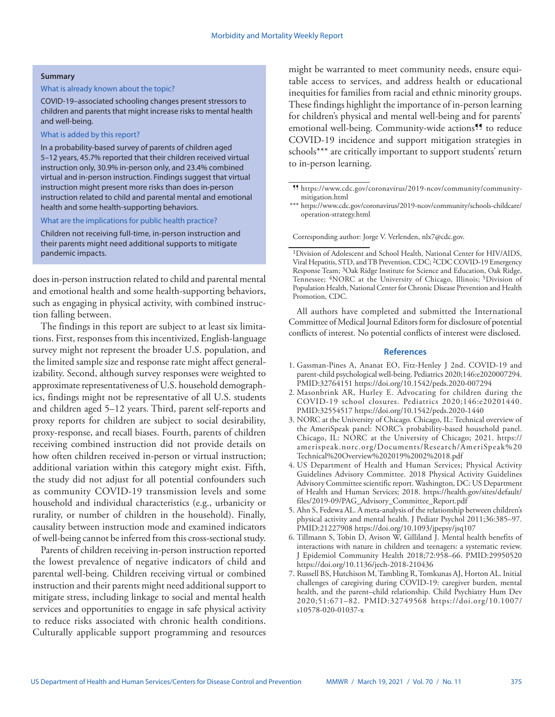#### **Summary**

## What is already known about the topic?

COVID-19–associated schooling changes present stressors to children and parents that might increase risks to mental health and well-being.

#### What is added by this report?

In a probability-based survey of parents of children aged 5–12 years, 45.7% reported that their children received virtual instruction only, 30.9% in-person only, and 23.4% combined virtual and in-person instruction. Findings suggest that virtual instruction might present more risks than does in-person instruction related to child and parental mental and emotional health and some health-supporting behaviors.

#### What are the implications for public health practice?

Children not receiving full-time, in-person instruction and their parents might need additional supports to mitigate pandemic impacts.

does in-person instruction related to child and parental mental and emotional health and some health-supporting behaviors, such as engaging in physical activity, with combined instruction falling between.

The findings in this report are subject to at least six limitations. First, responses from this incentivized, English-language survey might not represent the broader U.S. population, and the limited sample size and response rate might affect generalizability. Second, although survey responses were weighted to approximate representativeness of U.S. household demographics, findings might not be representative of all U.S. students and children aged 5–12 years. Third, parent self-reports and proxy reports for children are subject to social desirability, proxy-response, and recall biases. Fourth, parents of children receiving combined instruction did not provide details on how often children received in-person or virtual instruction; additional variation within this category might exist. Fifth, the study did not adjust for all potential confounders such as community COVID-19 transmission levels and some household and individual characteristics (e.g., urbanicity or rurality, or number of children in the household). Finally, causality between instruction mode and examined indicators of well-being cannot be inferred from this cross-sectional study.

Parents of children receiving in-person instruction reported the lowest prevalence of negative indicators of child and parental well-being. Children receiving virtual or combined instruction and their parents might need additional support to mitigate stress, including linkage to social and mental health services and opportunities to engage in safe physical activity to reduce risks associated with chronic health conditions. Culturally applicable support programming and resources

might be warranted to meet community needs, ensure equitable access to services, and address health or educational inequities for families from racial and ethnic minority groups. These findings highlight the importance of in-person learning for children's physical and mental well-being and for parents' emotional well-being. Community-wide actions<sup>99</sup> to reduce COVID-19 incidence and support mitigation strategies in schools\*\*\* are critically important to support students' return to in-person learning.

Corresponding author: Jorge V. Verlenden, [nlx7@cdc.gov.](mailto:nlx7@cdc.gov)

All authors have completed and submitted the International Committee of Medical Journal Editors form for disclosure of potential conflicts of interest. No potential conflicts of interest were disclosed.

#### **References**

- 1. Gassman-Pines A, Ananat EO, Fitz-Henley J 2nd. COVID-19 and parent-child psychological well-being. Pediatrics 2020;146:e2020007294. [PMID:32764151](https://www.ncbi.nlm.nih.gov/entrez/query.fcgi?cmd=Retrieve&db=PubMed&list_uids=32764151&dopt=Abstract) <https://doi.org/10.1542/peds.2020-007294>
- 2. Masonbrink AR, Hurley E. Advocating for children during the COVID-19 school closures. Pediatrics 2020;146:e20201440. [PMID:32554517](https://www.ncbi.nlm.nih.gov/entrez/query.fcgi?cmd=Retrieve&db=PubMed&list_uids=32554517&dopt=Abstract) <https://doi.org/10.1542/peds.2020-1440>
- 3. NORC at the University of Chicago. Chicago, IL: Technical overview of the AmeriSpeak panel: NORC's probability-based household panel. Chicago, IL: NORC at the University of Chicago; 2021. [https://](https://amerispeak.norc.org/Documents/Research/AmeriSpeak%20Technical%20Overview%202019%2002%2018.pdf) [amerispeak.norc.org/Documents/Research/AmeriSpeak%20](https://amerispeak.norc.org/Documents/Research/AmeriSpeak%20Technical%20Overview%202019%2002%2018.pdf) [Technical%20Overview%202019%2002%2018.pdf](https://amerispeak.norc.org/Documents/Research/AmeriSpeak%20Technical%20Overview%202019%2002%2018.pdf)
- 4. US Department of Health and Human Services; Physical Activity Guidelines Advisory Committee. 2018 Physical Activity Guidelines Advisory Committee scientific report. Washington, DC: US Department of Health and Human Services; 2018. [https://health.gov/sites/default/](https://health.gov/sites/default/files/2019-09/PAG_Advisory_Committee_Report.pdf) [files/2019-09/PAG\\_Advisory\\_Committee\\_Report.pdf](https://health.gov/sites/default/files/2019-09/PAG_Advisory_Committee_Report.pdf)
- 5. Ahn S, Fedewa AL. A meta-analysis of the relationship between children's physical activity and mental health. J Pediatr Psychol 2011;36:385–97. [PMID:21227908](https://www.ncbi.nlm.nih.gov/entrez/query.fcgi?cmd=Retrieve&db=PubMed&list_uids=21227908&dopt=Abstract) <https://doi.org/10.1093/jpepsy/jsq107>
- 6. Tillmann S, Tobin D, Avison W, Gilliland J. Mental health benefits of interactions with nature in children and teenagers: a systematic review. J Epidemiol Community Health 2018;72:958–66[. PMID:29950520](https://www.ncbi.nlm.nih.gov/entrez/query.fcgi?cmd=Retrieve&db=PubMed&list_uids=29950520&dopt=Abstract) <https://doi.org/10.1136/jech-2018-210436>
- 7. Russell BS, Hutchison M, Tambling R, Tomkunas AJ, Horton AL. Initial challenges of caregiving during COVID-19: caregiver burden, mental health, and the parent–child relationship. Child Psychiatry Hum Dev 2020;51:671–82. [PMID:32749568](https://www.ncbi.nlm.nih.gov/entrez/query.fcgi?cmd=Retrieve&db=PubMed&list_uids=32749568&dopt=Abstract) [https://doi.org/10.1007/](https://doi.org/10.1007/s10578-020-01037-x) [s10578-020-01037-x](https://doi.org/10.1007/s10578-020-01037-x)

<sup>¶¶</sup> [https://www.cdc.gov/coronavirus/2019-ncov/community/community](https://www.cdc.gov/coronavirus/2019-ncov/community/community-mitigation.html)[mitigation.html](https://www.cdc.gov/coronavirus/2019-ncov/community/community-mitigation.html)

<sup>\*\*\*</sup> [https://www.cdc.gov/coronavirus/2019-ncov/community/schools-childcare/](https://www.cdc.gov/coronavirus/2019-ncov/community/schools-childcare/operation-strategy.html) [operation-strategy.html](https://www.cdc.gov/coronavirus/2019-ncov/community/schools-childcare/operation-strategy.html)

<sup>&</sup>lt;sup>1</sup>Division of Adolescent and School Health, National Center for HIV/AIDS, Viral Hepatitis, STD, and TB Prevention, CDC; 2CDC COVID-19 Emergency Response Team; 3Oak Ridge Institute for Science and Education, Oak Ridge, Tennessee; <sup>4</sup>NORC at the University of Chicago, Illinois; <sup>5</sup>Division of Population Health, National Center for Chronic Disease Prevention and Health Promotion, CDC.